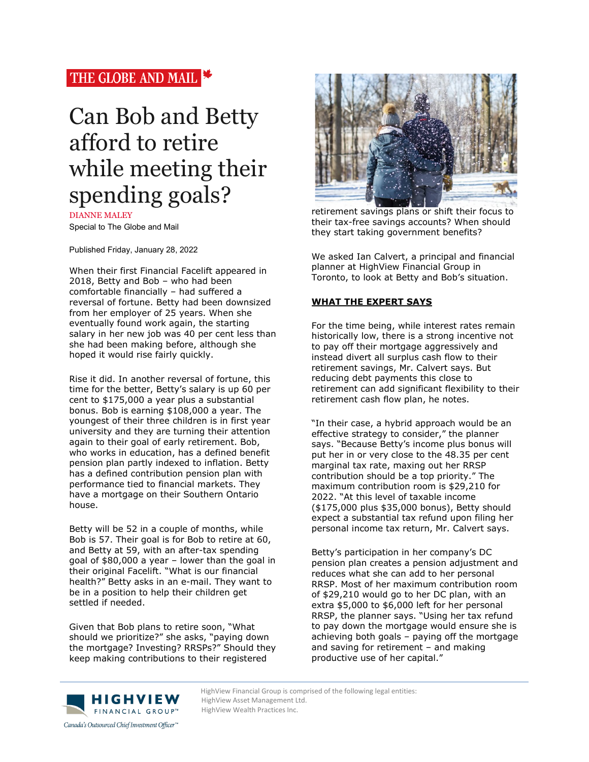## THE GLOBE AND MAIL

# Can Bob and Betty afford to retire while meeting their spending goals?

DIANNE MALEY Special to The Globe and Mail

Published Friday, January 28, 2022

When their first Financial Facelift appeared in 2018, Betty and Bob – who had been comfortable financially – had suffered a reversal of fortune. Betty had been downsized from her employer of 25 years. When she eventually found work again, the starting salary in her new job was 40 per cent less than she had been making before, although she hoped it would rise fairly quickly.

Rise it did. In another reversal of fortune, this time for the better, Betty's salary is up 60 per cent to \$175,000 a year plus a substantial bonus. Bob is earning \$108,000 a year. The youngest of their three children is in first year university and they are turning their attention again to their goal of early retirement. Bob, who works in education, has a defined benefit pension plan partly indexed to inflation. Betty has a defined contribution pension plan with performance tied to financial markets. They have a mortgage on their Southern Ontario house.

Betty will be 52 in a couple of months, while Bob is 57. Their goal is for Bob to retire at 60, and Betty at 59, with an after-tax spending goal of \$80,000 a year – lower than the goal in their original Facelift. "What is our financial health?" Betty asks in an e-mail. They want to be in a position to help their children get settled if needed.

Given that Bob plans to retire soon, "What should we prioritize?" she asks, "paying down the mortgage? Investing? RRSPs?" Should they keep making contributions to their registered



retirement savings plans or shift their focus to their tax-free savings accounts? When should they start taking government benefits?

We asked Ian Calvert, a principal and financial planner at HighView Financial Group in Toronto, to look at Betty and Bob's situation.

### **WHAT THE EXPERT SAYS**

For the time being, while interest rates remain historically low, there is a strong incentive not to pay off their mortgage aggressively and instead divert all surplus cash flow to their retirement savings, Mr. Calvert says. But reducing debt payments this close to retirement can add significant flexibility to their retirement cash flow plan, he notes.

"In their case, a hybrid approach would be an effective strategy to consider," the planner says. "Because Betty's income plus bonus will put her in or very close to the 48.35 per cent marginal tax rate, maxing out her RRSP contribution should be a top priority." The maximum contribution room is \$29,210 for 2022. "At this level of taxable income (\$175,000 plus \$35,000 bonus), Betty should expect a substantial tax refund upon filing her personal income tax return, Mr. Calvert says.

Betty's participation in her company's DC pension plan creates a pension adjustment and reduces what she can add to her personal RRSP. Most of her maximum contribution room of \$29,210 would go to her DC plan, with an extra \$5,000 to \$6,000 left for her personal RRSP, the planner says. "Using her tax refund to pay down the mortgage would ensure she is achieving both goals – paying off the mortgage and saving for retirement – and making productive use of her capital."



HighView Financial Group is comprised of the following legal entities:<br>
HighView Asset Management Ltd. HighView Asset Management Ltd. HighView Wealth Practices Inc.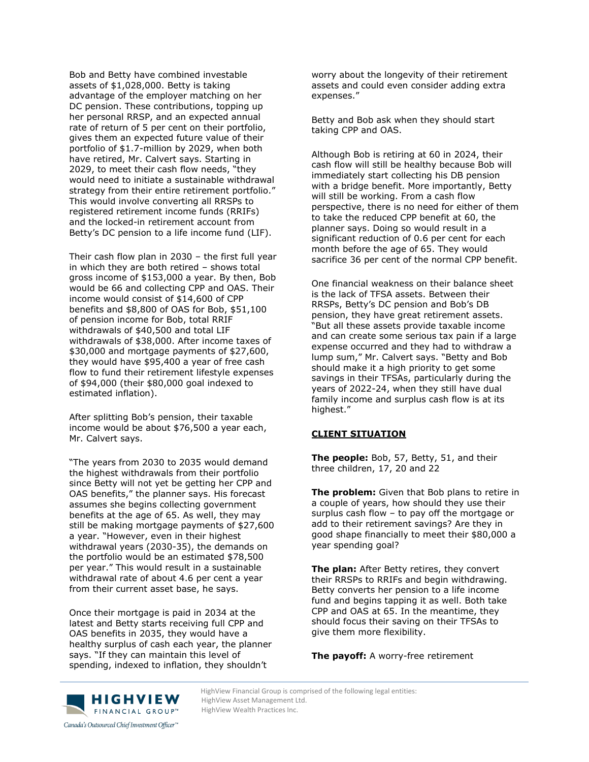Bob and Betty have combined investable assets of \$1,028,000. Betty is taking advantage of the employer matching on her DC pension. These contributions, topping up her personal RRSP, and an expected annual rate of return of 5 per cent on their portfolio, gives them an expected future value of their portfolio of \$1.7-million by 2029, when both have retired, Mr. Calvert says. Starting in 2029, to meet their cash flow needs, "they would need to initiate a sustainable withdrawal strategy from their entire retirement portfolio." This would involve converting all RRSPs to registered retirement income funds (RRIFs) and the locked-in retirement account from Betty's DC pension to a life income fund (LIF).

Their cash flow plan in 2030 – the first full year in which they are both retired – shows total gross income of \$153,000 a year. By then, Bob would be 66 and collecting CPP and OAS. Their income would consist of \$14,600 of CPP benefits and \$8,800 of OAS for Bob, \$51,100 of pension income for Bob, total RRIF withdrawals of \$40,500 and total LIF withdrawals of \$38,000. After income taxes of \$30,000 and mortgage payments of \$27,600, they would have \$95,400 a year of free cash flow to fund their retirement lifestyle expenses of \$94,000 (their \$80,000 goal indexed to estimated inflation).

After splitting Bob's pension, their taxable income would be about \$76,500 a year each, Mr. Calvert says.

"The years from 2030 to 2035 would demand the highest withdrawals from their portfolio since Betty will not yet be getting her CPP and OAS benefits," the planner says. His forecast assumes she begins collecting government benefits at the age of 65. As well, they may still be making mortgage payments of \$27,600 a year. "However, even in their highest withdrawal years (2030-35), the demands on the portfolio would be an estimated \$78,500 per year." This would result in a sustainable withdrawal rate of about 4.6 per cent a year from their current asset base, he says.

Once their mortgage is paid in 2034 at the latest and Betty starts receiving full CPP and OAS benefits in 2035, they would have a healthy surplus of cash each year, the planner says. "If they can maintain this level of spending, indexed to inflation, they shouldn't

worry about the longevity of their retirement assets and could even consider adding extra expenses."

Betty and Bob ask when they should start taking CPP and OAS.

Although Bob is retiring at 60 in 2024, their cash flow will still be healthy because Bob will immediately start collecting his DB pension with a bridge benefit. More importantly, Betty will still be working. From a cash flow perspective, there is no need for either of them to take the reduced CPP benefit at 60, the planner says. Doing so would result in a significant reduction of 0.6 per cent for each month before the age of 65. They would sacrifice 36 per cent of the normal CPP benefit.

One financial weakness on their balance sheet is the lack of TFSA assets. Between their RRSPs, Betty's DC pension and Bob's DB pension, they have great retirement assets. "But all these assets provide taxable income and can create some serious tax pain if a large expense occurred and they had to withdraw a lump sum," Mr. Calvert says. "Betty and Bob should make it a high priority to get some savings in their TFSAs, particularly during the years of 2022-24, when they still have dual family income and surplus cash flow is at its highest."

### **CLIENT SITUATION**

**The people:** Bob, 57, Betty, 51, and their three children, 17, 20 and 22

**The problem:** Given that Bob plans to retire in a couple of years, how should they use their surplus cash flow – to pay off the mortgage or add to their retirement savings? Are they in good shape financially to meet their \$80,000 a year spending goal?

**The plan:** After Betty retires, they convert their RRSPs to RRIFs and begin withdrawing. Betty converts her pension to a life income fund and begins tapping it as well. Both take CPP and OAS at 65. In the meantime, they should focus their saving on their TFSAs to give them more flexibility.

**The payoff:** A worry-free retirement



HighView Financial Group is comprised of the following legal entities:<br>
HighView Asset Management Ltd. HighView Asset Management Ltd. HighView Wealth Practices Inc.